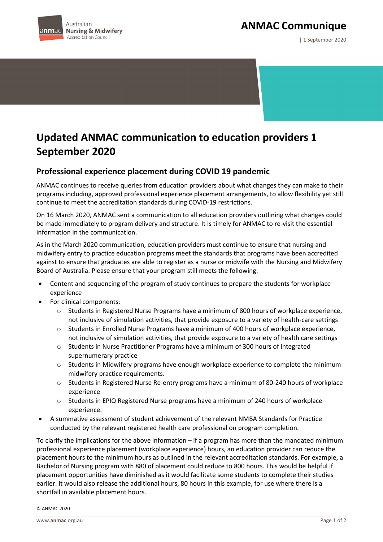



| 1 September 2020

## **Updated ANMAC communication to education providers 1 September 2020**

## **Professional experience placement during COVID 19 pandemic**

ANMAC continues to receive queries from education providers about what changes they can make to their programs including, approved professional experience placement arrangements, to allow flexibility yet still continue to meet the accreditation standards during COVID-19 restrictions.

On 16 March 2020, ANMAC sent a communication to all education providers outlining what changes could be made immediately to program delivery and structure. It is timely for ANMAC to re-visit the essential information in the communication.

As in the March 2020 communication, education providers must continue to ensure that nursing and midwifery entry to practice education programs meet the standards that programs have been accredited against to ensure that graduates are able to register as a nurse or midwife with the Nursing and Midwifery Board of Australia. Please ensure that your program still meets the following:

- Content and sequencing of the program of study continues to prepare the students for workplace experience
- For clinical components:
	- o Students in Registered Nurse Programs have a minimum of 800 hours of workplace experience, not inclusive of simulation activities, that provide exposure to a variety of health-care settings
	- $\circ$  Students in Enrolled Nurse Programs have a minimum of 400 hours of workplace experience, not inclusive of simulation activities, that provide exposure to a variety of health care settings
	- o Students in Nurse Practitioner Programs have a minimum of 300 hours of integrated supernumerary practice
	- o Students in Midwifery programs have enough workplace experience to complete the minimum midwifery practice requirements.
	- o Students in Registered Nurse Re-entry programs have a minimum of 80-240 hours of workplace experience
	- o Students in EPIQ Registered Nurse programs have a minimum of 240 hours of workplace experience.
- A summative assessment of student achievement of the relevant NMBA Standards for Practice conducted by the relevant registered health care professional on program completion.

To clarify the implications for the above information – if a program has more than the mandated minimum professional experience placement (workplace experience) hours, an education provider can reduce the placement hours to the minimum hours as outlined in the relevant accreditation standards. For example, a Bachelor of Nursing program with 880 of placement could reduce to 800 hours. This would be helpful if placement opportunities have diminished as it would facilitate some students to complete their studies earlier. It would also release the additional hours, 80 hours in this example, for use where there is a shortfall in available placement hours.